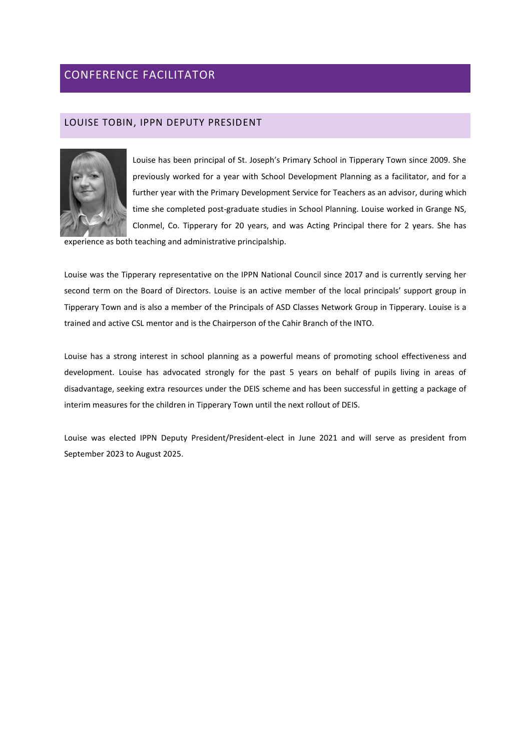# CONFERENCE FACILITATOR

## LOUISE TOBIN, IPPN DEPUTY PRESIDENT



Louise has been principal of St. Joseph's Primary School in Tipperary Town since 2009. She previously worked for a year with School Development Planning as a facilitator, and for a further year with the Primary Development Service for Teachers as an advisor, during which time she completed post-graduate studies in School Planning. Louise worked in Grange NS, Clonmel, Co. Tipperary for 20 years, and was Acting Principal there for 2 years. She has

experience as both teaching and administrative principalship.

Louise was the Tipperary representative on the IPPN National Council since 2017 and is currently serving her second term on the Board of Directors. Louise is an active member of the local principals' support group in Tipperary Town and is also a member of the Principals of ASD Classes Network Group in Tipperary. Louise is a trained and active CSL mentor and is the Chairperson of the Cahir Branch of the INTO.

Louise has a strong interest in school planning as a powerful means of promoting school effectiveness and development. Louise has advocated strongly for the past 5 years on behalf of pupils living in areas of disadvantage, seeking extra resources under the DEIS scheme and has been successful in getting a package of interim measures for the children in Tipperary Town until the next rollout of DEIS.

Louise was elected IPPN Deputy President/President-elect in June 2021 and will serve as president from September 2023 to August 2025.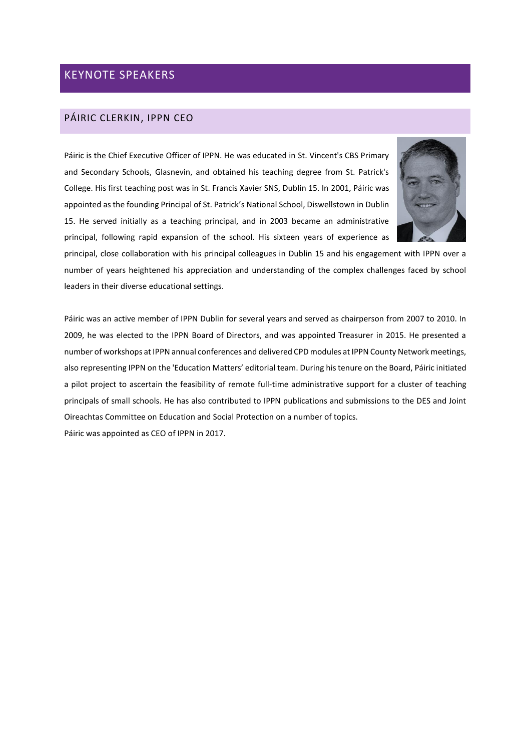# KEYNOTE SPEAKERS

# PÁIRIC CLERKIN, IPPN CEO

Páiric is the Chief Executive Officer of IPPN. He was educated in St. Vincent's CBS Primary and Secondary Schools, Glasnevin, and obtained his teaching degree from St. Patrick's College. His first teaching post was in St. Francis Xavier SNS, Dublin 15. In 2001, Páiric was appointed as the founding Principal of St. Patrick's National School, Diswellstown in Dublin 15. He served initially as a teaching principal, and in 2003 became an administrative principal, following rapid expansion of the school. His sixteen years of experience as



principal, close collaboration with his principal colleagues in Dublin 15 and his engagement with IPPN over a number of years heightened his appreciation and understanding of the complex challenges faced by school leaders in their diverse educational settings.

Páiric was an active member of IPPN Dublin for several years and served as chairperson from 2007 to 2010. In 2009, he was elected to the IPPN Board of Directors, and was appointed Treasurer in 2015. He presented a number of workshops at IPPN annual conferences and delivered CPD modules at IPPN County Network meetings, also representing IPPN on the 'Education Matters' editorial team. During his tenure on the Board, Páiric initiated a pilot project to ascertain the feasibility of remote full-time administrative support for a cluster of teaching principals of small schools. He has also contributed to IPPN publications and submissions to the DES and Joint Oireachtas Committee on Education and Social Protection on a number of topics. Páiric was appointed as CEO of IPPN in 2017.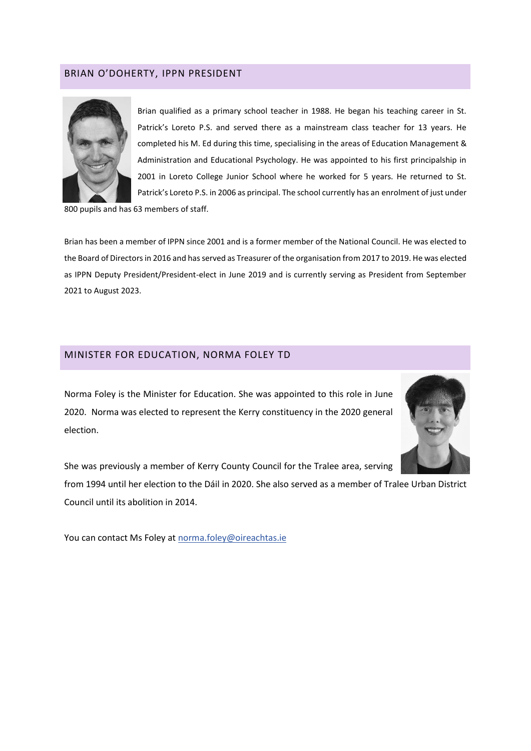# BRIAN O'DOHERTY, IPPN PRESIDENT



Brian qualified as a primary school teacher in 1988. He began his teaching career in St. Patrick's Loreto P.S. and served there as a mainstream class teacher for 13 years. He completed his M. Ed during this time, specialising in the areas of Education Management & Administration and Educational Psychology. He was appointed to his first principalship in 2001 in Loreto College Junior School where he worked for 5 years. He returned to St. Patrick's Loreto P.S. in 2006 as principal. The school currently has an enrolment of just under

800 pupils and has 63 members of staff.

Brian has been a member of IPPN since 2001 and is a former member of the National Council. He was elected to the Board of Directors in 2016 and has served as Treasurer of the organisation from 2017 to 2019. He was elected as IPPN Deputy President/President-elect in June 2019 and is currently serving as President from September 2021 to August 2023.

### MINISTER FOR EDUCATION, NORMA FOLEY TD

Norma Foley is the Minister for Education. She was appointed to this role in June 2020. Norma was elected to represent the Kerry constituency in the 2020 general election.



She was previously a member of Kerry County Council for the Tralee area, serving

from 1994 until her election to the Dáil in 2020. She also served as a member of Tralee Urban District Council until its abolition in 2014.

You can contact Ms Foley at [norma.foley@oireachtas.ie](mailto:norma.foley@oireachtas.ie)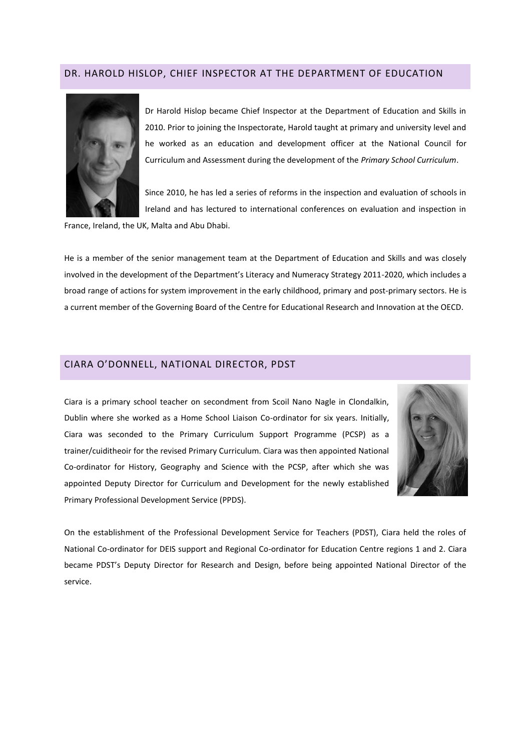#### DR. HAROLD HISLOP, CHIEF INSPECTOR AT THE DEPARTMENT OF EDUCATION



Dr Harold Hislop became Chief Inspector at the Department of Education and Skills in 2010. Prior to joining the Inspectorate, Harold taught at primary and university level and he worked as an education and development officer at the National Council for Curriculum and Assessment during the development of the *Primary School Curriculum*.

Since 2010, he has led a series of reforms in the inspection and evaluation of schools in Ireland and has lectured to international conferences on evaluation and inspection in

France, Ireland, the UK, Malta and Abu Dhabi.

He is a member of the senior management team at the Department of Education and Skills and was closely involved in the development of the Department's Literacy and Numeracy Strategy 2011-2020, which includes a broad range of actions for system improvement in the early childhood, primary and post-primary sectors. He is a current member of the Governing Board of the Centre for Educational Research and Innovation at the OECD.

## CIARA O'DONNELL, NATIONAL DIRECTOR, PDST

Ciara is a primary school teacher on secondment from Scoil Nano Nagle in Clondalkin, Dublin where she worked as a Home School Liaison Co-ordinator for six years. Initially, Ciara was seconded to the Primary Curriculum Support Programme (PCSP) as a trainer/cuiditheoir for the revised Primary Curriculum. Ciara was then appointed National Co-ordinator for History, Geography and Science with the PCSP, after which she was appointed Deputy Director for Curriculum and Development for the newly established Primary Professional Development Service (PPDS).



On the establishment of the Professional Development Service for Teachers (PDST), Ciara held the roles of National Co-ordinator for DEIS support and Regional Co-ordinator for Education Centre regions 1 and 2. Ciara became PDST's Deputy Director for Research and Design, before being appointed National Director of the service.